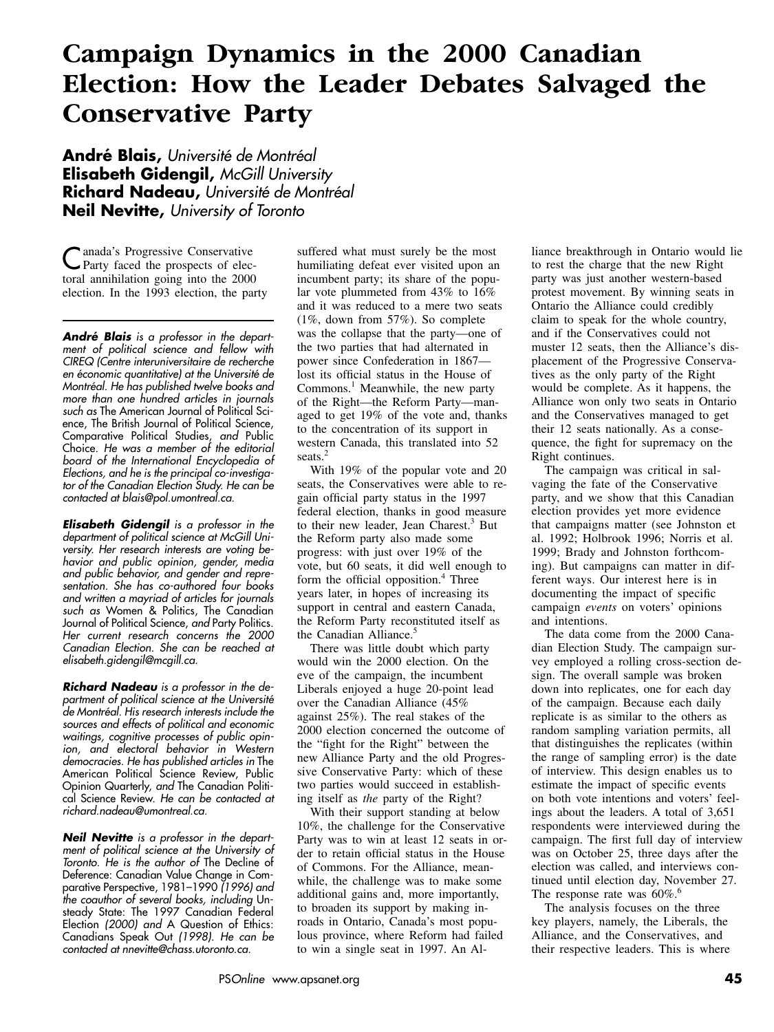# **Campaign Dynamics in the 2000 Canadian Election: How the Leader Debates Salvaged the Conservative Party**

**André Blais,** *Université de Montréal* **Elisabeth Gidengil,** *McGill University* **Richard Nadeau,** *Université de Montréal* **Neil Nevitte,** *University of Toronto*

Canada's Progressive Conservative Party faced the prospects of electoral annihilation going into the 2000 election. In the 1993 election, the party

*André Blais is a professor in the department of political science and fellow with CIREQ (Centre interuniversitaire de recherche en économic quantitative) at the Université de Montréal. He has published twelve books and more than one hundred articles in journals such as* The American Journal of Political Science, The British Journal of Political Science, Comparative Political Studies, *and* Public Choice. *He was a member of the editorial board of the International Encyclopedia of Elections, and he is the principal co-investigator of the Canadian Election Study. He can be contacted at blais@pol.umontreal.ca.*

*Elisabeth Gidengil is a professor in the department of political science at McGill University. Her research interests are voting behavior and public opinion, gender, media and public behavior, and gender and representation. She has co-authored four books and written a mayriad of articles for journals such as* Women & Politics, The Canadian Journal of Political Science, *and* Party Politics. *Her current research concerns the 2000 Canadian Election. She can be reached at elisabeth.gidengil@mcgill.ca.*

*Richard Nadeau is a professor in the department of political science at the Université de Montréal. His research interests include the sources and effects of political and economic waitings, cognitive processes of public opinion, and electoral behavior in Western democracies. He has published articles in* The American Political Science Review, Public Opinion Quarterly, *and* The Canadian Political Science Review. *He can be contacted at richard.nadeau@umontreal.ca.*

*Neil Nevitte is a professor in the department of political science at the University of Toronto. He is the author of* The Decline of Deference: Canadian Value Change in Comparative Perspective, 1981–1990 *(1996) and the coauthor of several books, including* Unsteady State: The 1997 Canadian Federal Election *(2000) and* A Question of Ethics: Canadians Speak Out *(1998). He can be contacted at nnevitte@chass.utoronto.ca.*

suffered what must surely be the most humiliating defeat ever visited upon an incumbent party; its share of the popular vote plummeted from 43% to 16% and it was reduced to a mere two seats (1%, down from 57%). So complete was the collapse that the party—one of the two parties that had alternated in power since Confederation in 1867 lost its official status in the House of Commons.<sup>1</sup> Meanwhile, the new party of the Right—the Reform Party—managed to get 19% of the vote and, thanks to the concentration of its support in western Canada, this translated into 52 seats.<sup>2</sup>

With 19% of the popular vote and 20 seats, the Conservatives were able to regain official party status in the 1997 federal election, thanks in good measure to their new leader, Jean Charest.<sup>3</sup> But the Reform party also made some progress: with just over 19% of the vote, but 60 seats, it did well enough to form the official opposition. $4$  Three years later, in hopes of increasing its support in central and eastern Canada, the Reform Party reconstituted itself as the Canadian Alliance.<sup>5</sup>

There was little doubt which party would win the 2000 election. On the eve of the campaign, the incumbent Liberals enjoyed a huge 20-point lead over the Canadian Alliance (45% against 25%). The real stakes of the 2000 election concerned the outcome of the "fight for the Right" between the new Alliance Party and the old Progressive Conservative Party: which of these two parties would succeed in establishing itself as *the* party of the Right?

With their support standing at below 10%, the challenge for the Conservative Party was to win at least 12 seats in order to retain official status in the House of Commons. For the Alliance, meanwhile, the challenge was to make some additional gains and, more importantly, to broaden its support by making inroads in Ontario, Canada's most populous province, where Reform had failed to win a single seat in 1997. An Alliance breakthrough in Ontario would lie to rest the charge that the new Right party was just another western-based protest movement. By winning seats in Ontario the Alliance could credibly claim to speak for the whole country, and if the Conservatives could not muster 12 seats, then the Alliance's displacement of the Progressive Conservatives as the only party of the Right would be complete. As it happens, the Alliance won only two seats in Ontario and the Conservatives managed to get their 12 seats nationally. As a consequence, the fight for supremacy on the Right continues.

The campaign was critical in salvaging the fate of the Conservative party, and we show that this Canadian election provides yet more evidence that campaigns matter (see Johnston et al. 1992; Holbrook 1996; Norris et al. 1999; Brady and Johnston forthcoming). But campaigns can matter in different ways. Our interest here is in documenting the impact of specific campaign *events* on voters' opinions and intentions.

The data come from the 2000 Canadian Election Study. The campaign survey employed a rolling cross-section design. The overall sample was broken down into replicates, one for each day of the campaign. Because each daily replicate is as similar to the others as random sampling variation permits, all that distinguishes the replicates (within the range of sampling error) is the date of interview. This design enables us to estimate the impact of specific events on both vote intentions and voters' feelings about the leaders. A total of 3,651 respondents were interviewed during the campaign. The first full day of interview was on October 25, three days after the election was called, and interviews continued until election day, November 27. The response rate was  $60\%$ .<sup>6</sup>

The analysis focuses on the three key players, namely, the Liberals, the Alliance, and the Conservatives, and their respective leaders. This is where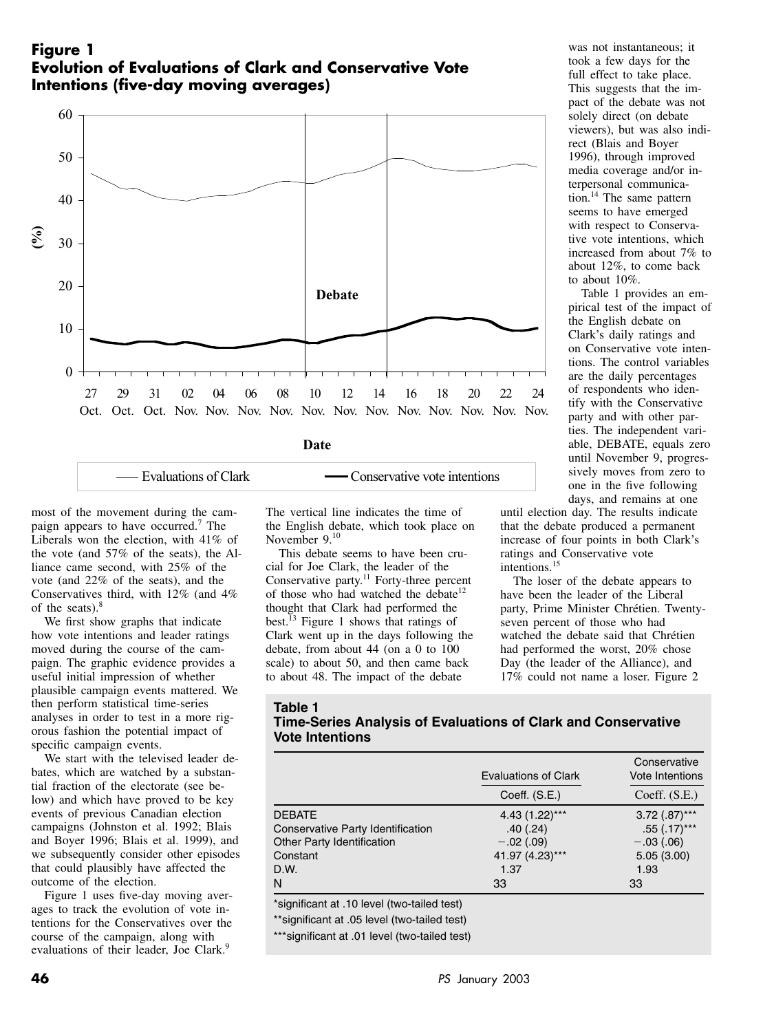## **Figure 1 Evolution of Evaluations of Clark and Conservative Vote Intentions (five-day moving averages)**



| Evaluations of Clark |  |
|----------------------|--|
|----------------------|--|

Conservative vote intentions

most of the movement during the campaign appears to have occurred.<sup>7</sup> The Liberals won the election, with 41% of the vote (and 57% of the seats), the Alliance came second, with 25% of the vote (and 22% of the seats), and the Conservatives third, with 12% (and 4% of the seats).<sup>8</sup>

We first show graphs that indicate how vote intentions and leader ratings moved during the course of the campaign. The graphic evidence provides a useful initial impression of whether plausible campaign events mattered. We then perform statistical time-series analyses in order to test in a more rigorous fashion the potential impact of specific campaign events.

We start with the televised leader debates, which are watched by a substantial fraction of the electorate (see below) and which have proved to be key events of previous Canadian election campaigns (Johnston et al. 1992; Blais and Boyer 1996; Blais et al. 1999), and we subsequently consider other episodes that could plausibly have affected the outcome of the election.

Figure 1 uses five-day moving averages to track the evolution of vote intentions for the Conservatives over the course of the campaign, along with evaluations of their leader. Joe Clark.<sup>9</sup>

The vertical line indicates the time of the English debate, which took place on November 9.<sup>10</sup>

This debate seems to have been crucial for Joe Clark, the leader of the Conservative party.<sup>11</sup> Forty-three percent of those who had watched the debate<sup>12</sup> thought that Clark had performed the best.<sup>13</sup> Figure 1 shows that ratings of Clark went up in the days following the debate, from about 44 (on a 0 to 100 scale) to about 50, and then came back to about 48. The impact of the debate

was not instantaneous; it took a few days for the full effect to take place. This suggests that the impact of the debate was not solely direct (on debate viewers), but was also indirect (Blais and Boyer 1996), through improved media coverage and/or interpersonal communication.14 The same pattern seems to have emerged with respect to Conservative vote intentions, which increased from about 7% to about 12%, to come back to about 10%.

Table 1 provides an empirical test of the impact of the English debate on Clark's daily ratings and on Conservative vote intentions. The control variables are the daily percentages of respondents who identify with the Conservative party and with other parties. The independent variable, DEBATE, equals zero until November 9, progressively moves from zero to one in the five following days, and remains at one

until election day. The results indicate that the debate produced a permanent increase of four points in both Clark's ratings and Conservative vote intentions.<sup>15</sup>

The loser of the debate appears to have been the leader of the Liberal party, Prime Minister Chrétien. Twentyseven percent of those who had watched the debate said that Chrétien had performed the worst, 20% chose Day (the leader of the Alliance), and 17% could not name a loser. Figure 2

#### **Table 1**

**Time-Series Analysis of Evaluations of Clark and Conservative Vote Intentions**

|                                   | Evaluations of Clark | Conservative<br>Vote Intentions |
|-----------------------------------|----------------------|---------------------------------|
|                                   | Coeff. (S.E.)        | Coeff. (S.E.)                   |
| <b>DEBATE</b>                     | 4.43 (1.22)***       | $3.72$ $(.87)$ ***              |
| Conservative Party Identification | .40(.24)             | $.55$ (.17)***                  |
| Other Party Identification        | $-.02(.09)$          | $-.03(.06)$                     |
| Constant                          | 41.97 (4.23)***      | 5.05(3.00)                      |
| D.W.                              | 1.37                 | 1.93                            |
| N                                 | 33                   | 33                              |

\*significant at .10 level (two-tailed test)

\*\*significant at .05 level (two-tailed test)

\*\*\*significant at .01 level (two-tailed test)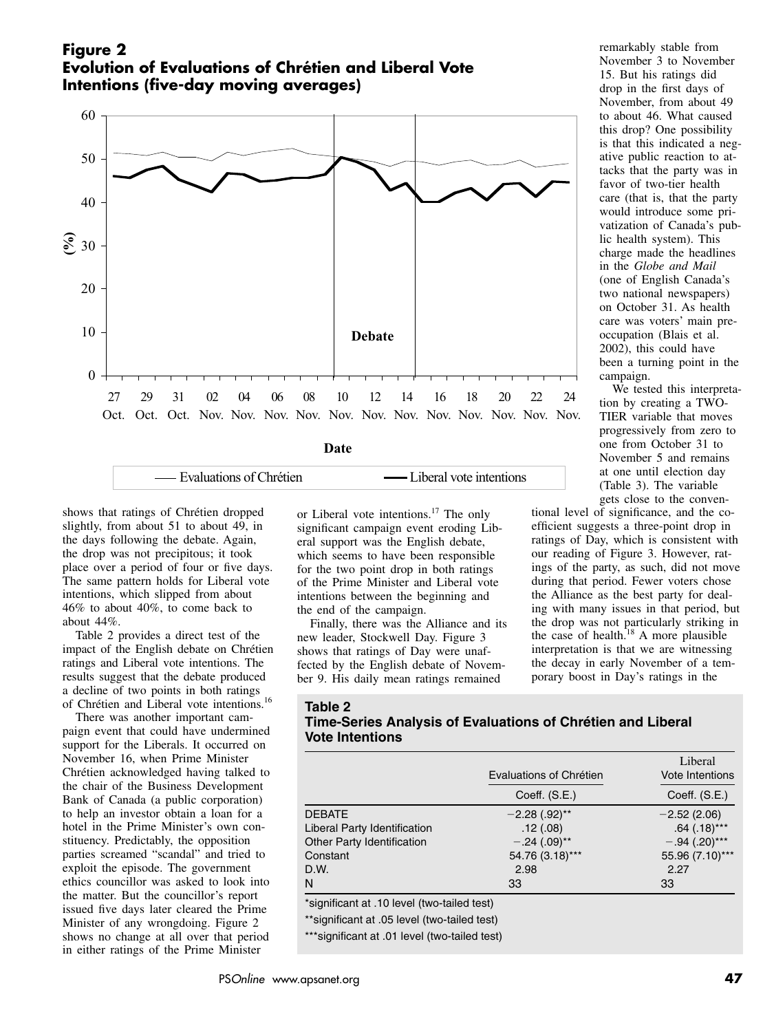## **Figure 2 Evolution of Evaluations of Chrétien and Liberal Vote Intentions (five-day moving averages)**



Evaluations of Chrétien **——** Liberal vote intentions

shows that ratings of Chrétien dropped slightly, from about 51 to about 49, in the days following the debate. Again, the drop was not precipitous; it took place over a period of four or five days. The same pattern holds for Liberal vote intentions, which slipped from about 46% to about 40%, to come back to about 44%.

Table 2 provides a direct test of the impact of the English debate on Chrétien ratings and Liberal vote intentions. The results suggest that the debate produced a decline of two points in both ratings of Chrétien and Liberal vote intentions.16

There was another important campaign event that could have undermined support for the Liberals. It occurred on November 16, when Prime Minister Chrétien acknowledged having talked to the chair of the Business Development Bank of Canada (a public corporation) to help an investor obtain a loan for a hotel in the Prime Minister's own constituency. Predictably, the opposition parties screamed "scandal" and tried to exploit the episode. The government ethics councillor was asked to look into the matter. But the councillor's report issued five days later cleared the Prime Minister of any wrongdoing. Figure 2 shows no change at all over that period in either ratings of the Prime Minister

or Liberal vote intentions.<sup>17</sup> The only significant campaign event eroding Liberal support was the English debate, which seems to have been responsible for the two point drop in both ratings of the Prime Minister and Liberal vote intentions between the beginning and the end of the campaign.

Finally, there was the Alliance and its new leader, Stockwell Day. Figure 3 shows that ratings of Day were unaffected by the English debate of November 9. His daily mean ratings remained

remarkably stable from November 3 to November 15. But his ratings did drop in the first days of November, from about 49 to about 46. What caused this drop? One possibility is that this indicated a negative public reaction to attacks that the party was in favor of two-tier health care (that is, that the party would introduce some privatization of Canada's public health system). This charge made the headlines in the *Globe and Mail* (one of English Canada's two national newspapers) on October 31. As health care was voters' main preoccupation (Blais et al. 2002), this could have been a turning point in the campaign.

We tested this interpretation by creating a TWO-TIER variable that moves progressively from zero to one from October 31 to November 5 and remains at one until election day (Table 3). The variable gets close to the conven-

tional level of significance, and the coefficient suggests a three-point drop in ratings of Day, which is consistent with our reading of Figure 3. However, ratings of the party, as such, did not move during that period. Fewer voters chose the Alliance as the best party for dealing with many issues in that period, but the drop was not particularly striking in the case of health. $18$  A more plausible interpretation is that we are witnessing the decay in early November of a temporary boost in Day's ratings in the

### **Table 2**

### **Time-Series Analysis of Evaluations of Chrétien and Liberal Vote Intentions**

|                              | Evaluations of Chrétien     | Liberal<br><b>Vote Intentions</b> |
|------------------------------|-----------------------------|-----------------------------------|
|                              | Coeff. (S.E.)               | Coeff. (S.E.)                     |
| <b>DEBATE</b>                | $-2.28$ (.92) <sup>**</sup> | $-2.52(2.06)$                     |
| Liberal Party Identification | .12(.08)                    | $.64$ (.18)***                    |
| Other Party Identification   | $-.24(.09)$ **              | $-.94(.20)$ ***                   |
| Constant                     | 54.76 (3.18)***             | 55.96 (7.10)***                   |
| D.W.                         | 2.98                        | 2.27                              |
| N                            | 33                          | 33                                |

\*significant at .10 level (two-tailed test)

\*\*significant at .05 level (two-tailed test)

\*\*\*significant at .01 level (two-tailed test)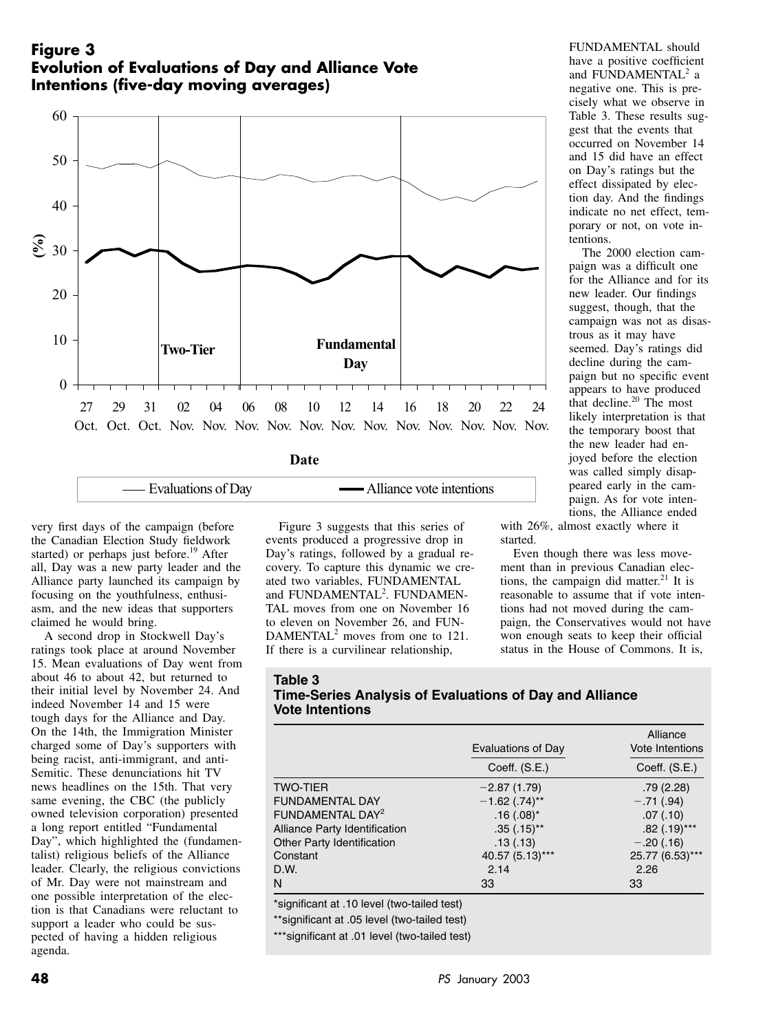## **Figure 3 Evolution of Evaluations of Day and Alliance Vote Intentions (five-day moving averages)**



| — Evaluations of Day<br>Alliance vote intentions |
|--------------------------------------------------|
|--------------------------------------------------|

very first days of the campaign (before the Canadian Election Study fieldwork started) or perhaps just before.<sup>19</sup> After all, Day was a new party leader and the Alliance party launched its campaign by focusing on the youthfulness, enthusiasm, and the new ideas that supporters claimed he would bring.

A second drop in Stockwell Day's ratings took place at around November 15. Mean evaluations of Day went from about 46 to about 42, but returned to their initial level by November 24. And indeed November 14 and 15 were tough days for the Alliance and Day. On the 14th, the Immigration Minister charged some of Day's supporters with being racist, anti-immigrant, and anti-Semitic. These denunciations hit TV news headlines on the 15th. That very same evening, the CBC (the publicly owned television corporation) presented a long report entitled "Fundamental Day", which highlighted the (fundamentalist) religious beliefs of the Alliance leader. Clearly, the religious convictions of Mr. Day were not mainstream and one possible interpretation of the election is that Canadians were reluctant to support a leader who could be suspected of having a hidden religious agenda.

Figure 3 suggests that this series of events produced a progressive drop in Day's ratings, followed by a gradual recovery. To capture this dynamic we created two variables, FUNDAMENTAL and FUNDAMENTAL<sup>2</sup>. FUNDAMEN-TAL moves from one on November 16 to eleven on November 26, and FUN-DAMENTAL<sup>2</sup> moves from one to 121. If there is a curvilinear relationship,

FUNDAMENTAL should have a positive coefficient and FUNDAMENTAL<sup>2</sup> a negative one. This is precisely what we observe in Table 3. These results suggest that the events that occurred on November 14 and 15 did have an effect on Day's ratings but the effect dissipated by election day. And the findings indicate no net effect, temporary or not, on vote intentions.

The 2000 election campaign was a difficult one for the Alliance and for its new leader. Our findings suggest, though, that the campaign was not as disastrous as it may have seemed. Day's ratings did decline during the campaign but no specific event appears to have produced that decline.<sup>20</sup> The most likely interpretation is that the temporary boost that the new leader had enjoyed before the election was called simply disappeared early in the campaign. As for vote intentions, the Alliance ended

with 26%, almost exactly where it started.

Even though there was less movement than in previous Canadian elections, the campaign did matter.<sup>21</sup> It is reasonable to assume that if vote intentions had not moved during the campaign, the Conservatives would not have won enough seats to keep their official status in the House of Commons. It is,

| Table 3                                                 |
|---------------------------------------------------------|
| Time-Series Analysis of Evaluations of Day and Alliance |
| <b>Vote Intentions</b>                                  |

|                                   | Evaluations of Day<br>Coeff. (S.E.) | Alliance<br>Vote Intentions<br>Coeff. $(S.E.)$ |
|-----------------------------------|-------------------------------------|------------------------------------------------|
|                                   |                                     |                                                |
| <b>TWO-TIER</b>                   | $-2.87(1.79)$                       | .79(2.28)                                      |
| <b>FUNDAMENTAL DAY</b>            | $-1.62$ (.74) <sup>**</sup>         | $-.71(.94)$                                    |
| FUNDAMENTAL DAY <sup>2</sup>      | $.16(.08)^*$                        | .07(0.10)                                      |
| Alliance Party Identification     | $.35(.15)$ **                       | $.82$ (.19)***                                 |
| <b>Other Party Identification</b> | .13(.13)                            | $-.20(.16)$                                    |
| Constant                          | 40.57 (5.13)***                     | 25.77 (6.53)***                                |
| D.W.                              | 2.14                                | 2.26                                           |
| N                                 | 33                                  | 33                                             |

\*significant at .10 level (two-tailed test)

\*\*significant at .05 level (two-tailed test)

\*\*\*significant at .01 level (two-tailed test)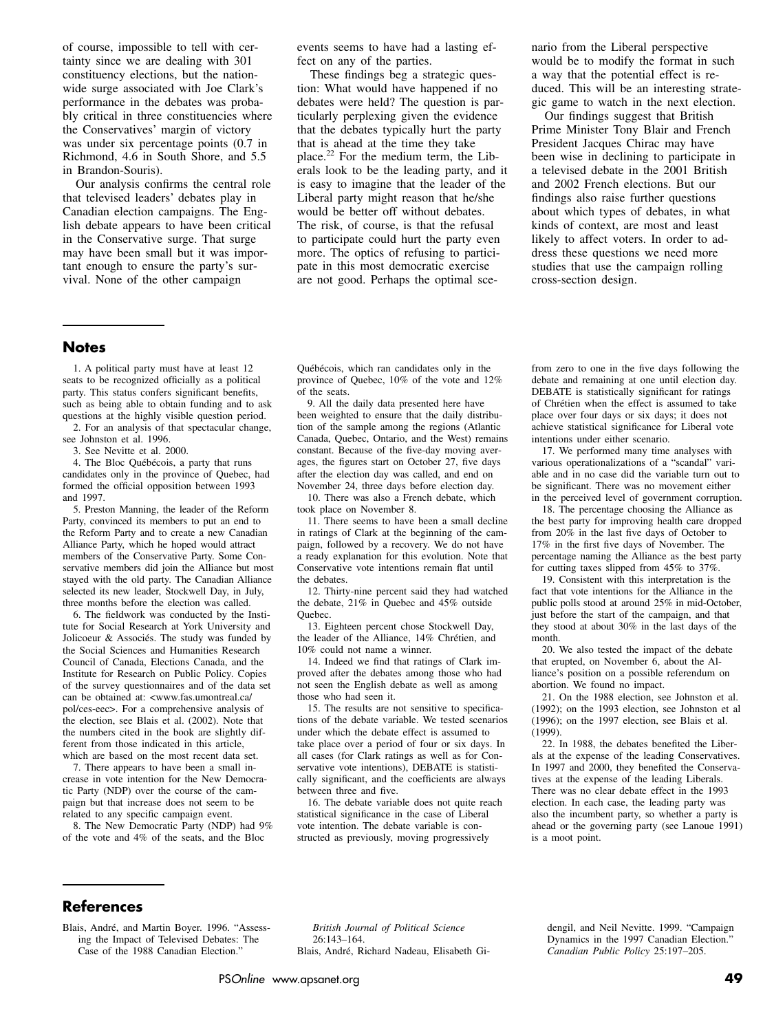of course, impossible to tell with certainty since we are dealing with 301 constituency elections, but the nationwide surge associated with Joe Clark's performance in the debates was probably critical in three constituencies where the Conservatives' margin of victory was under six percentage points (0.7 in Richmond, 4.6 in South Shore, and 5.5 in Brandon-Souris).

Our analysis confirms the central role that televised leaders' debates play in Canadian election campaigns. The English debate appears to have been critical in the Conservative surge. That surge may have been small but it was important enough to ensure the party's survival. None of the other campaign

events seems to have had a lasting effect on any of the parties.

These findings beg a strategic question: What would have happened if no debates were held? The question is particularly perplexing given the evidence that the debates typically hurt the party that is ahead at the time they take place.22 For the medium term, the Liberals look to be the leading party, and it is easy to imagine that the leader of the Liberal party might reason that he/she would be better off without debates. The risk, of course, is that the refusal to participate could hurt the party even more. The optics of refusing to participate in this most democratic exercise are not good. Perhaps the optimal scenario from the Liberal perspective would be to modify the format in such a way that the potential effect is reduced. This will be an interesting strategic game to watch in the next election.

Our findings suggest that British Prime Minister Tony Blair and French President Jacques Chirac may have been wise in declining to participate in a televised debate in the 2001 British and 2002 French elections. But our findings also raise further questions about which types of debates, in what kinds of context, are most and least likely to affect voters. In order to address these questions we need more studies that use the campaign rolling cross-section design.

### **Notes**

1. A political party must have at least 12 seats to be recognized officially as a political party. This status confers significant benefits, such as being able to obtain funding and to ask questions at the highly visible question period.

2. For an analysis of that spectacular change, see Johnston et al. 1996.

3. See Nevitte et al. 2000.

4. The Bloc Québécois, a party that runs candidates only in the province of Quebec, had formed the official opposition between 1993 and 1997.

5. Preston Manning, the leader of the Reform Party, convinced its members to put an end to the Reform Party and to create a new Canadian Alliance Party, which he hoped would attract members of the Conservative Party. Some Conservative members did join the Alliance but most stayed with the old party. The Canadian Alliance selected its new leader, Stockwell Day, in July, three months before the election was called.

6. The fieldwork was conducted by the Institute for Social Research at York University and Jolicoeur & Associés. The study was funded by the Social Sciences and Humanities Research Council of Canada, Elections Canada, and the Institute for Research on Public Policy. Copies of the survey questionnaires and of the data set can be obtained at: <www.fas.umontreal.ca/ pol/ces-eec>. For a comprehensive analysis of the election, see Blais et al. (2002). Note that the numbers cited in the book are slightly different from those indicated in this article, which are based on the most recent data set.

7. There appears to have been a small increase in vote intention for the New Democratic Party (NDP) over the course of the campaign but that increase does not seem to be related to any specific campaign event.

8. The New Democratic Party (NDP) had 9% of the vote and 4% of the seats, and the Bloc

Québécois, which ran candidates only in the province of Quebec, 10% of the vote and 12% of the seats.

9. All the daily data presented here have been weighted to ensure that the daily distribution of the sample among the regions (Atlantic Canada, Quebec, Ontario, and the West) remains constant. Because of the five-day moving averages, the figures start on October 27, five days after the election day was called, and end on November 24, three days before election day.

10. There was also a French debate, which took place on November 8.

11. There seems to have been a small decline in ratings of Clark at the beginning of the campaign, followed by a recovery. We do not have a ready explanation for this evolution. Note that Conservative vote intentions remain flat until the debates.

12. Thirty-nine percent said they had watched the debate, 21% in Quebec and 45% outside Quebec.

13. Eighteen percent chose Stockwell Day, the leader of the Alliance, 14% Chrétien, and 10% could not name a winner.

14. Indeed we find that ratings of Clark improved after the debates among those who had not seen the English debate as well as among those who had seen it.

15. The results are not sensitive to specifications of the debate variable. We tested scenarios under which the debate effect is assumed to take place over a period of four or six days. In all cases (for Clark ratings as well as for Conservative vote intentions), DEBATE is statistically significant, and the coefficients are always between three and five.

16. The debate variable does not quite reach statistical significance in the case of Liberal vote intention. The debate variable is constructed as previously, moving progressively

from zero to one in the five days following the debate and remaining at one until election day. DEBATE is statistically significant for ratings of Chrétien when the effect is assumed to take place over four days or six days; it does not achieve statistical significance for Liberal vote intentions under either scenario.

17. We performed many time analyses with various operationalizations of a "scandal" variable and in no case did the variable turn out to be significant. There was no movement either in the perceived level of government corruption.

18. The percentage choosing the Alliance as the best party for improving health care dropped from 20% in the last five days of October to 17% in the first five days of November. The percentage naming the Alliance as the best party for cutting taxes slipped from 45% to 37%.

19. Consistent with this interpretation is the fact that vote intentions for the Alliance in the public polls stood at around 25% in mid-October, just before the start of the campaign, and that they stood at about 30% in the last days of the month.

20. We also tested the impact of the debate that erupted, on November 6, about the Alliance's position on a possible referendum on abortion. We found no impact.

21. On the 1988 election, see Johnston et al. (1992); on the 1993 election, see Johnston et al (1996); on the 1997 election, see Blais et al. (1999).

22. In 1988, the debates benefited the Liberals at the expense of the leading Conservatives. In 1997 and 2000, they benefited the Conservatives at the expense of the leading Liberals. There was no clear debate effect in the 1993 election. In each case, the leading party was also the incumbent party, so whether a party is ahead or the governing party (see Lanoue 1991) is a moot point.

### **References**

Blais, André, and Martin Boyer. 1996. "Assessing the Impact of Televised Debates: The Case of the 1988 Canadian Election."

*British Journal of Political Science* 26:143–164. Blais, André, Richard Nadeau, Elisabeth Gidengil, and Neil Nevitte. 1999. "Campaign Dynamics in the 1997 Canadian Election." *Canadian Public Policy* 25:197–205.